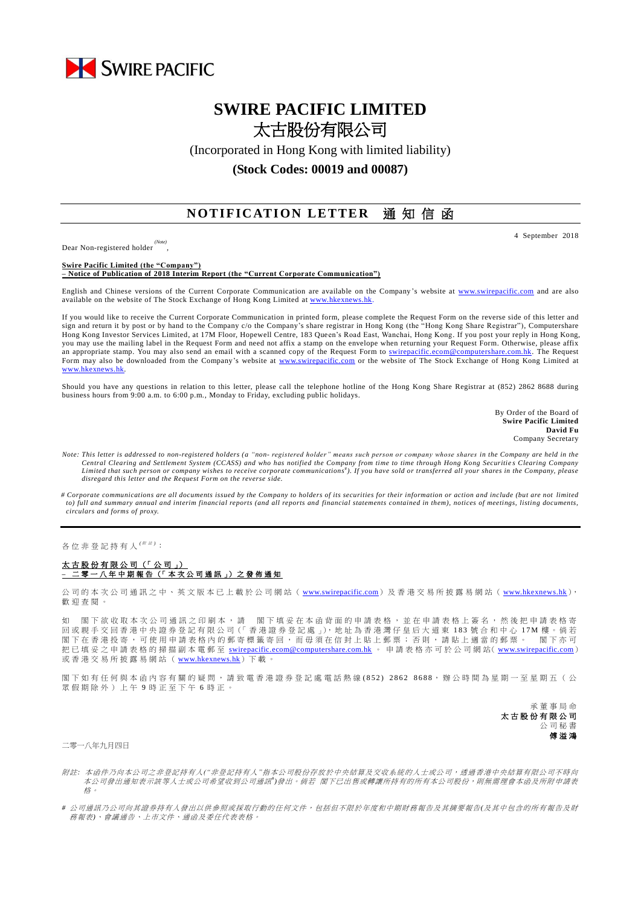

## **SWIRE PACIFIC LIMITED** 太古股份有限公司

(Incorporated in Hong Kong with limited liability)

**(Stock Codes: 00019 and 00087)**

## **NOTIFICATION LETTER** 通知信函

Dear Non-registered holder *(Note)* ,

**Swire Pacific Limited (the "Company") – Notice of Publication of 2018 Interim Report (the "Current Corporate Communication")**

English and Chinese versions of the Current Corporate Communication are available on the Company 's website at [www.swirepacific.com](http://www.swirepacific.com/) and are also available on the website of The Stock Exchange of Hong Kong Limited at [www.hkexnews.hk.](http://www.hkexnews.hk/)

If you would like to receive the Current Corporate Communication in printed form, please complete the Request Form on the reverse side of this letter and sign and return it by post or by hand to the Company c/o the Company's share registrar in Hong Kong (the "Hong Kong Share Registrar"), Computershare Hong Kong Investor Services Limited, at 17M Floor, Hopewell Centre, 183 Queen's Road East, Wanchai, Hong Kong. If you post your reply in Hong Kong, you may use the mailing label in the Request Form and need not affix a stamp on the envelope when returning your Request Form. Otherwise, please affix an appropriate stamp. You may also send an email with a scanned copy of the Request Form to [swirepacific.ecom@computershare.com.hk.](mailto:swirepacific.ecom@computershare.com.hk) The Request Form may also be downloaded from the Company's website at [www.swirepacific.com](http://www.swirepacific.com/) or the website of The Stock Exchange of Hong Kong Limited at [www.hkexnews.hk.](http://www.hkexnews.hk/)

Should you have any questions in relation to this letter, please call the telephone hotline of the Hong Kong Share Registrar at (852) 2862 8688 during business hours from 9:00 a.m. to 6:00 p.m., Monday to Friday, excluding public holidays.

> By Order of the Board of **Swire Pacific Limited David Fu** Company Secretary

- *Note: This letter is addressed to non-registered holders (a "non- registered holder" means such person or company whose shares in the Company are held in the Central Clearing and Settlement System (CCASS) and who has notified the Company from time to time through Hong Kong Securitie s Clearing Company*  Limited that such person or company wishes to receive corporate communications<sup>#</sup>). If you have sold or transferred all your shares in the Company, please *disregard this letter and the Request Form on the reverse side.*
- *# Corporate communications are all documents issued by the Company to holders of its securities for their information or action and include (but are not limited to) full and summary annual and interim financial reports (and all reports and financial statements contained in them), notices of meetings, listing documents, circulars and forms of proxy.*

各位非登記持有人<sup>( ##)</sup>:

## 太古股份有限公司 (「公司」) **–** 二零一 八 年 中期報告 (「 本 次 公 司 通 訊 」) 之 發 佈 通 知

公司的本次公司通訊之中、英文版本已上載於公司網站 ([www.swirepacific.com](http://www.swirepacific.com/)) 及香港交易所披露易網站 ([www.hkexnews.hk](http://www.hkexnews.hk/)), 歡 迎 查閱。

如 閣下欲收取本次公司通訊之印刷本,請 閣下填妥在本函背面的申請表格,並在申請表格上簽名,然後把申請表格寄 回 或親手交回 香 港 中 央 證 券 登 記 有 限 公 司(「 香 港 證 券 登 記 處 」), 地 址 為 香 港 灣 仔 皇 后 大 道 東 1 8 3 號合和中心 1 7 M 樓 。 倘 若 閣下 在 香 港 投 寄 , 可 使 用 申 請 表 格 内 的 郵 寄 標 籤 寄 回 , 而 毋 須 在 信 封 上 貼 上 郵 票 ; 否 則 , 請 貼 上 適 當 的 郵 票 。 閣 下 亦 可 把已填妥之申請表格的掃描副本電郵至 [swirepacific.ecom@computershare.com.hk](mailto:swirepacific.ecom@computershare.com.hk) 。 申請表格亦可於公司網站( [www.swirepacific.com](http://www.swirepacific.com/)) 或香港交易所披露易網站 ( [www.hkexnews.hk](http://www.hkexnews.hk/))下 載 。

閣下如有任何與本函內容有關的疑問,請致電香港證券登記處電話熱線 (852) 2862 8688,辦公時間為星期一至星期五 ( 公 眾假期除外)上午 9 時正至下午 6 時正。

> 承董事 局 命 太古股份有限公司 公司秘書 傅溢鴻

二零一八年九月四日

- 附註*:* 本函件乃向本公司之非登記持有人*("*非登記持有人*"*指本公司股份存放於中央結算及交收系統的人士或公司,透過香港中央結算有限公司不時向 本公司發出通知表示該等人士或公司希望收到公司通訊<sup>+</sup>)發出。 倘若 閣下已出售或轉讓所持有的所有本公司股份,則無需理會本函及所附申請表 格。
- *#* 公司通訊乃公司向其證券持有人發出以供參照或採取行動的任何文件,包括但不限於年度和中期財務報告及其摘要報告*(*及其中包含的所有報告及財 務報表*)*、會議通告、上市文件、通函及委任代表表格。

4 September 2018